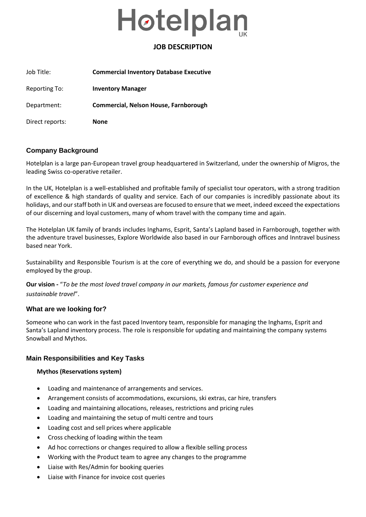# Høtelplan

# **JOB DESCRIPTION**

| Job Title:      | <b>Commercial Inventory Database Executive</b> |
|-----------------|------------------------------------------------|
| Reporting To:   | <b>Inventory Manager</b>                       |
| Department:     | Commercial, Nelson House, Farnborough          |
| Direct reports: | None                                           |

# **Company Background**

Hotelplan is a large pan-European travel group headquartered in Switzerland, under the ownership of Migros, the leading Swiss co-operative retailer.

In the UK, Hotelplan is a well-established and profitable family of specialist tour operators, with a strong tradition of excellence & high standards of quality and service. Each of our companies is incredibly passionate about its holidays, and our staff both in UK and overseas are focused to ensure that we meet, indeed exceed the expectations of our discerning and loyal customers, many of whom travel with the company time and again.

The Hotelplan UK family of brands includes Inghams, Esprit, Santa's Lapland based in Farnborough, together with the adventure travel businesses, Explore Worldwide also based in our Farnborough offices and Inntravel business based near York.

Sustainability and Responsible Tourism is at the core of everything we do, and should be a passion for everyone employed by the group.

**Our vision -** "*To be the most loved travel company in our markets, famous for customer experience and sustainable travel*".

# **What are we looking for?**

Someone who can work in the fast paced Inventory team, responsible for managing the Inghams, Esprit and Santa's Lapland inventory process. The role is responsible for updating and maintaining the company systems Snowball and Mythos.

# **Main Responsibilities and Key Tasks**

# **Mythos (Reservations system)**

- Loading and maintenance of arrangements and services.
- Arrangement consists of accommodations, excursions, ski extras, car hire, transfers
- Loading and maintaining allocations, releases, restrictions and pricing rules
- Loading and maintaining the setup of multi centre and tours
- Loading cost and sell prices where applicable
- Cross checking of loading within the team
- Ad hoc corrections or changes required to allow a flexible selling process
- Working with the Product team to agree any changes to the programme
- Liaise with Res/Admin for booking queries
- Liaise with Finance for invoice cost queries